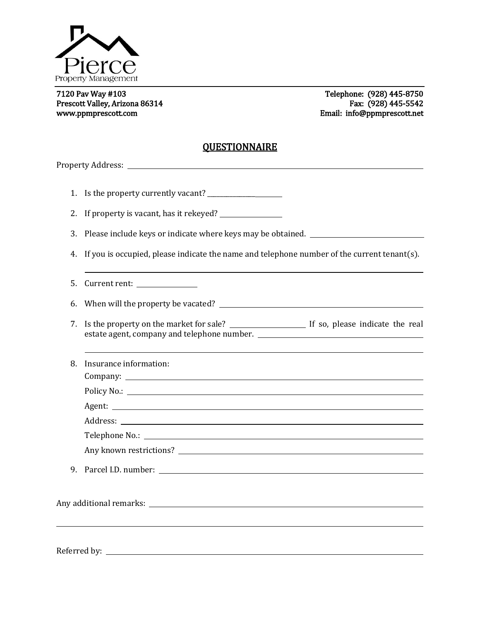

Prescott Valley, Arizona 86314 Fax: (928) 445-5542 www.ppmprescott.com example and the example of the example of the Email: info@ppmprescott.net

L

7120 Pav Way #103 Telephone: (928) 445-8750

## **QUESTIONNAIRE**

Property Address: 1. Is the property currently vacant? 2. If property is vacant, has it rekeyed? 3. Please include keys or indicate where keys may be obtained. 4. If you is occupied, please indicate the name and telephone number of the current tenant(s). 5. Current rent: 6. When will the property be vacated? 7. Is the property on the market for sale? If so, please indicate the real estate agent, company and telephone number. 8. Insurance information: Company: Policy No.: Agent: Address: 2008 Contract and the contract of the contract of the contract of the contract of the contract of the contract of the contract of the contract of the contract of the contract of the contract of the contract of the Telephone No.: Any known restrictions? 9. Parcel I.D. number: Any additional remarks: Referred by: